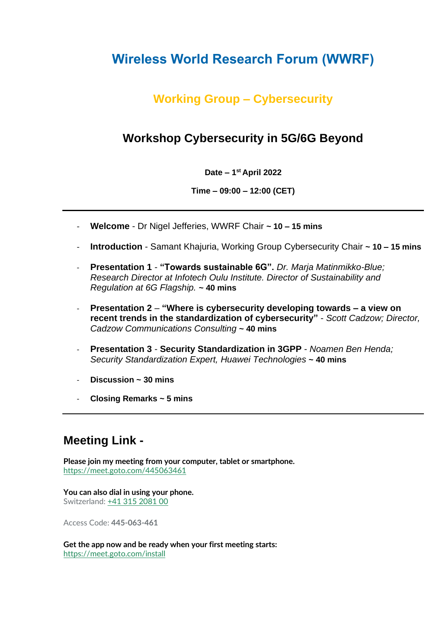# **Wireless World Research Forum (WWRF)**

## **Working Group – Cybersecurity**

### **Workshop Cybersecurity in 5G/6G Beyond**

**Date – 1 st April 2022**

**Time – 09:00 – 12:00 (CET)**

- **Welcome** Dr Nigel Jefferies, WWRF Chair **~ 10 – 15 mins**
- **Introduction** Samant Khajuria, Working Group Cybersecurity Chair **~ 10 – 15 mins**
- **Presentation 1 "Towards sustainable 6G".** *Dr. Marja Matinmikko-Blue; Research Director at Infotech Oulu Institute. Director of Sustainability and Regulation at 6G Flagship.* **~ 40 mins**
- **Presentation 2 "Where is cybersecurity developing towards – a view on recent trends in the standardization of cybersecurity"** - *Scott Cadzow; Director, Cadzow Communications Consulting* **~ 40 mins**
- **Presentation 3 Security Standardization in 3GPP** *Noamen Ben Henda; Security Standardization Expert, Huawei Technologies* **~ 40 mins**
- **Discussion ~ 30 mins**
- **Closing Remarks ~ 5 mins**

## **Meeting Link -**

**Please join my meeting from your computer, tablet or smartphone.** <https://meet.goto.com/445063461>

**You can also dial in using your phone.** Switzerland: [+41 315 2081 00](tel:+41315208100,,445063461)

Access Code: **445-063-461**

**Get the app now and be ready when your first meeting starts:** <https://meet.goto.com/install>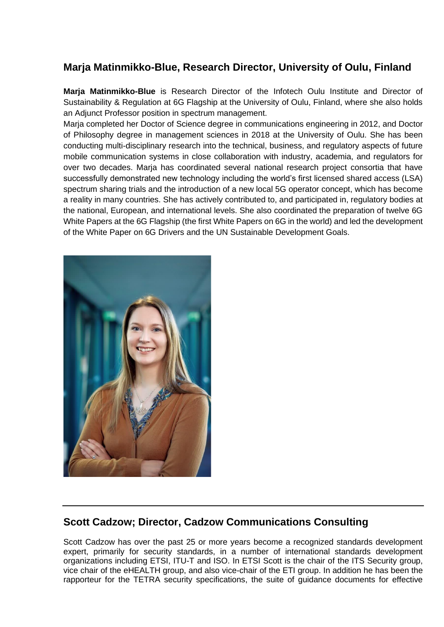#### **Marja Matinmikko-Blue, Research Director, University of Oulu, Finland**

**Marja Matinmikko-Blue** is Research Director of the Infotech Oulu Institute and Director of Sustainability & Regulation at 6G Flagship at the University of Oulu, Finland, where she also holds an Adjunct Professor position in spectrum management.

Marja completed her Doctor of Science degree in communications engineering in 2012, and Doctor of Philosophy degree in management sciences in 2018 at the University of Oulu. She has been conducting multi-disciplinary research into the technical, business, and regulatory aspects of future mobile communication systems in close collaboration with industry, academia, and regulators for over two decades. Marja has coordinated several national research project consortia that have successfully demonstrated new technology including the world's first licensed shared access (LSA) spectrum sharing trials and the introduction of a new local 5G operator concept, which has become a reality in many countries. She has actively contributed to, and participated in, regulatory bodies at the national, European, and international levels. She also coordinated the preparation of twelve 6G White Papers at the 6G Flagship (the first White Papers on 6G in the world) and led the development of the White Paper on 6G Drivers and the UN Sustainable Development Goals.



#### **Scott Cadzow; Director, Cadzow Communications Consulting**

Scott Cadzow has over the past 25 or more years become a recognized standards development expert, primarily for security standards, in a number of international standards development organizations including ETSI, ITU-T and ISO. In ETSI Scott is the chair of the ITS Security group, vice chair of the eHEALTH group, and also vice-chair of the ETI group. In addition he has been the rapporteur for the TETRA security specifications, the suite of guidance documents for effective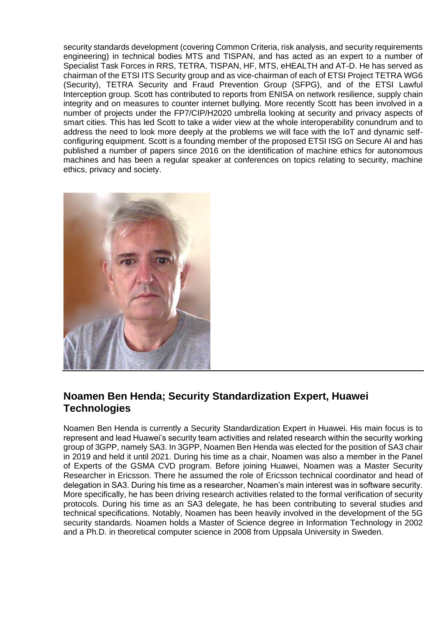security standards development (covering Common Criteria, risk analysis, and security requirements engineering) in technical bodies MTS and TISPAN, and has acted as an expert to a number of Specialist Task Forces in RRS, TETRA, TISPAN, HF, MTS, eHEALTH and AT-D. He has served as chairman of the ETSI ITS Security group and as vice-chairman of each of ETSI Project TETRA WG6 (Security), TETRA Security and Fraud Prevention Group (SFPG), and of the ETSI Lawful Interception group. Scott has contributed to reports from ENISA on network resilience, supply chain integrity and on measures to counter internet bullying. More recently Scott has been involved in a number of projects under the FP7/CIP/H2020 umbrella looking at security and privacy aspects of smart cities. This has led Scott to take a wider view at the whole interoperability conundrum and to address the need to look more deeply at the problems we will face with the IoT and dynamic selfconfiguring equipment. Scott is a founding member of the proposed ETSI ISG on Secure AI and has published a number of papers since 2016 on the identification of machine ethics for autonomous machines and has been a regular speaker at conferences on topics relating to security, machine ethics, privacy and society.



#### **Noamen Ben Henda; Security Standardization Expert, Huawei Technologies**

Noamen Ben Henda is currently a Security Standardization Expert in Huawei. His main focus is to represent and lead Huawei's security team activities and related research within the security working group of 3GPP, namely SA3. In 3GPP, Noamen Ben Henda was elected for the position of SA3 chair in 2019 and held it until 2021. During his time as a chair, Noamen was also a member in the Panel of Experts of the GSMA CVD program. Before joining Huawei, Noamen was a Master Security Researcher in Ericsson. There he assumed the role of Ericsson technical coordinator and head of delegation in SA3. During his time as a researcher, Noamen's main interest was in software security. More specifically, he has been driving research activities related to the formal verification of security protocols. During his time as an SA3 delegate, he has been contributing to several studies and technical specifications. Notably, Noamen has been heavily involved in the development of the 5G security standards. Noamen holds a Master of Science degree in Information Technology in 2002 and a Ph.D. in theoretical computer science in 2008 from Uppsala University in Sweden.